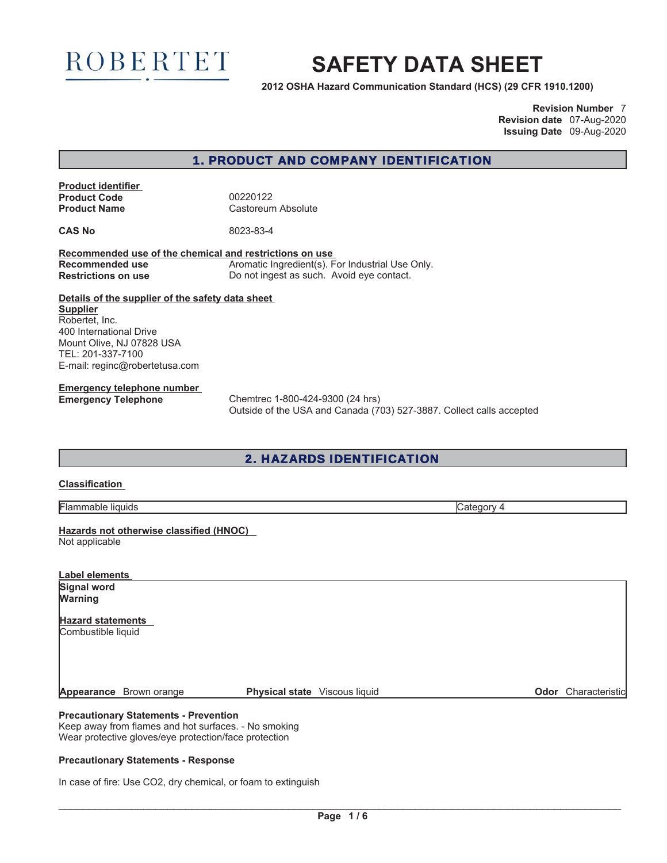

# **SAFETY DATA SHEET**

**2012 OSHA Hazard Communication Standard (HCS) (29 CFR 1910.1200)**

**Revision Number** 7 **Revision date** 07-Aug-2020 **Issuing Date** 09-Aug-2020

## 1. PRODUCT AND COMPANY IDENTIFICATION

**Product identifier Product Code** 200220122<br> **Product Name Castoreum** 

**Castoreum Absolute** 

**CAS No** 8023-83-4

**Recommended use of the chemical and restrictions on use Recommended use The Aromatic Ingredient(s). For Industrial Use Only. Restrictions on use** Do not ingest as such. Avoid eye contact.

**Details of the supplier of the safety data sheet Supplier** Robertet, Inc. 400 International Drive Mount Olive, NJ 07828 USA TEL: 201-337-7100 E-mail: reginc@robertetusa.com

**Emergency telephone number**

**Emergency Telephone** Chemtrec 1-800-424-9300 (24 hrs) Outside of the USA and Canada (703) 527-3887. Collect calls accepted

## 2. HAZARDS IDENTIFICATION

## **Classification**

Flammable liquids Category 4

**Hazards not otherwise classified (HNOC)** Not applicable

| Label elements                                                                                       |                                      |                            |
|------------------------------------------------------------------------------------------------------|--------------------------------------|----------------------------|
| <b>Signal word</b><br>Warning                                                                        |                                      |                            |
| <b>Hazard statements</b><br>Combustible liquid                                                       |                                      |                            |
| <b>Appearance</b> Brown orange                                                                       | <b>Physical state</b> Viscous liquid | <b>Odor</b> Characteristic |
| <b>Precautionary Statements - Prevention</b><br>Keep away from flames and hot surfaces. - No smoking |                                      |                            |

Wear protective gloves/eye protection/face protection

### **Precautionary Statements - Response**

In case of fire: Use CO2, dry chemical, or foam to extinguish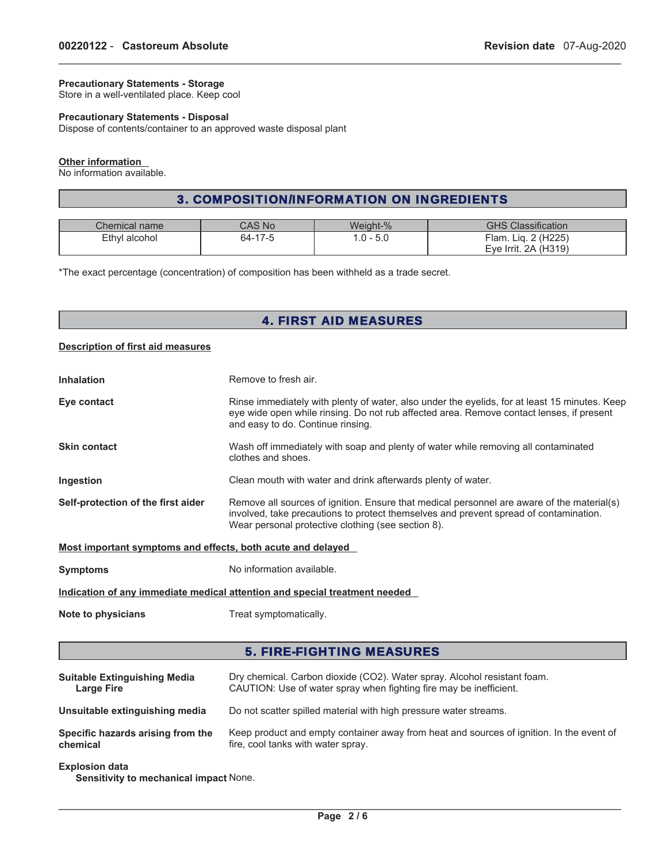## **Precautionary Statements - Storage**

Store in a well-ventilated place. Keep cool

## **Precautionary Statements - Disposal**

Dispose of contents/container to an approved waste disposal plant

#### **Other information**

No information available.

## 3. COMPOSITION/INFORMATION ON INGREDIENTS

\_\_\_\_\_\_\_\_\_\_\_\_\_\_\_\_\_\_\_\_\_\_\_\_\_\_\_\_\_\_\_\_\_\_\_\_\_\_\_\_\_\_\_\_\_\_\_\_\_\_\_\_\_\_\_\_\_\_\_\_\_\_\_\_\_\_\_\_\_\_\_\_\_\_\_\_\_\_\_\_\_\_\_\_\_\_\_\_\_\_\_\_\_

| <b>Chemical name</b> | $\bigcap$ AS No       | Weiaht-% | <b>GHS Classification</b>     |
|----------------------|-----------------------|----------|-------------------------------|
| Ethyl alcohol        | 64-<br>$-4$<br>$\sim$ | 5.C      | 2(H225)<br>$F$ lam.<br>Lia. 2 |
|                      |                       |          | Eye Irrit. 2A (H319)          |

\*The exact percentage (concentration) of composition has been withheld as a trade secret.

## 4. FIRST AID MEASURES

#### **Description of first aid measures**

| <b>Inhalation</b>                                           | Remove to fresh air.                                                                                                                                                                                                                      |  |
|-------------------------------------------------------------|-------------------------------------------------------------------------------------------------------------------------------------------------------------------------------------------------------------------------------------------|--|
| Eye contact                                                 | Rinse immediately with plenty of water, also under the eyelids, for at least 15 minutes. Keep<br>eye wide open while rinsing. Do not rub affected area. Remove contact lenses, if present<br>and easy to do. Continue rinsing.            |  |
| <b>Skin contact</b>                                         | Wash off immediately with soap and plenty of water while removing all contaminated<br>clothes and shoes.                                                                                                                                  |  |
| <b>Ingestion</b>                                            | Clean mouth with water and drink afterwards plenty of water.                                                                                                                                                                              |  |
| Self-protection of the first aider                          | Remove all sources of ignition. Ensure that medical personnel are aware of the material(s)<br>involved, take precautions to protect themselves and prevent spread of contamination.<br>Wear personal protective clothing (see section 8). |  |
| Most important symptoms and effects, both acute and delayed |                                                                                                                                                                                                                                           |  |
| <b>Symptoms</b>                                             | No information available.                                                                                                                                                                                                                 |  |

**Indication of any immediate medical attention and special treatment needed**

**Note to physicians** Treat symptomatically.

## 5. FIRE-FIGHTING MEASURES

| <b>Suitable Extinguishing Media</b> | Dry chemical. Carbon dioxide (CO2). Water spray. Alcohol resistant foam.                 |
|-------------------------------------|------------------------------------------------------------------------------------------|
| <b>Large Fire</b>                   | CAUTION: Use of water spray when fighting fire may be inefficient.                       |
| Unsuitable extinguishing media      | Do not scatter spilled material with high pressure water streams.                        |
| Specific hazards arising from the   | Keep product and empty container away from heat and sources of ignition. In the event of |
| chemical                            | fire, cool tanks with water spray.                                                       |

#### **Explosion data**

**Sensitivity to mechanical impact** None.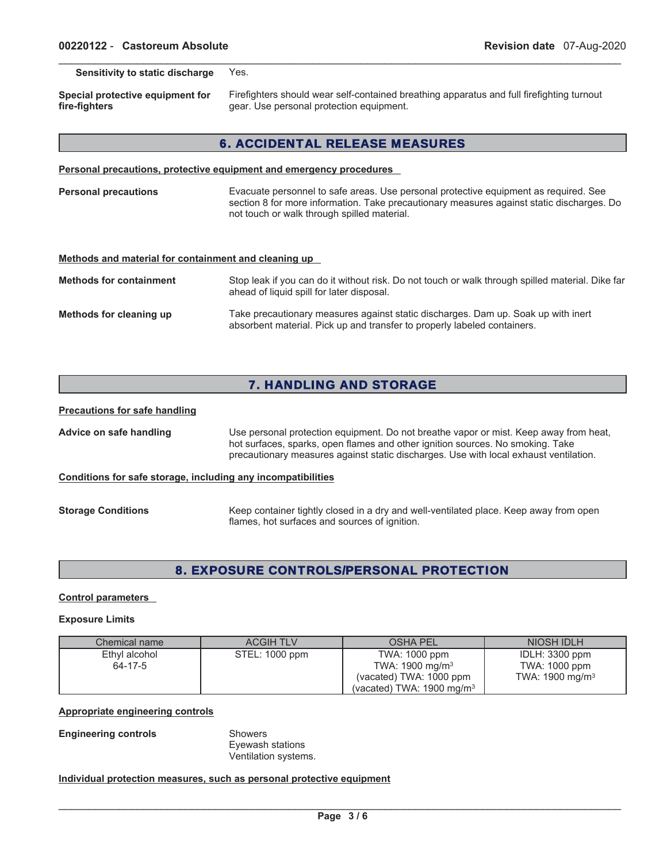**Sensitivity to static discharge** Yes.

**Special protective equipment for fire-fighters**

Firefighters should wear self-contained breathing apparatus and full firefighting turnout gear. Use personal protection equipment.

## 6. ACCIDENTAL RELEASE MEASURES

\_\_\_\_\_\_\_\_\_\_\_\_\_\_\_\_\_\_\_\_\_\_\_\_\_\_\_\_\_\_\_\_\_\_\_\_\_\_\_\_\_\_\_\_\_\_\_\_\_\_\_\_\_\_\_\_\_\_\_\_\_\_\_\_\_\_\_\_\_\_\_\_\_\_\_\_\_\_\_\_\_\_\_\_\_\_\_\_\_\_\_\_\_

**Personal precautions, protective equipment and emergency procedures**

**Personal precautions** Evacuate personnel to safe areas. Use personal protective equipment as required. See section 8 for more information. Take precautionary measures against static discharges. Do not touch or walk through spilled material.

#### **Methods and material for containment and cleaning up**

| <b>Methods for containment</b> | Stop leak if you can do it without risk. Do not touch or walk through spilled material. Dike far<br>ahead of liquid spill for later disposal.                 |
|--------------------------------|---------------------------------------------------------------------------------------------------------------------------------------------------------------|
| Methods for cleaning up        | Take precautionary measures against static discharges. Dam up. Soak up with inert<br>absorbent material. Pick up and transfer to properly labeled containers. |

## 7. HANDLING AND STORAGE

#### **Precautions for safe handling**

**Advice on safe handling** Use personal protection equipment. Do not breathe vapor or mist. Keep away from heat, hot surfaces, sparks, open flames and other ignition sources. No smoking. Take precautionary measures against static discharges. Use with local exhaust ventilation.

#### **Conditions for safe storage, including any incompatibilities**

| <b>Storage Conditions</b> | Keep container tightly closed in a dry and well-ventilated place. Keep away from open |
|---------------------------|---------------------------------------------------------------------------------------|
|                           | flames, hot surfaces and sources of ignition.                                         |

## 8. EXPOSURE CONTROLS/PERSONAL PROTECTION

#### **Control parameters**

#### **Exposure Limits**

| Chemical name | <b>ACGIH TLV</b> | <b>OSHA PEL</b>                      | NIOSH IDLH                  |
|---------------|------------------|--------------------------------------|-----------------------------|
| Ethyl alcohol | STEL: 1000 ppm   | TWA: 1000 ppm                        | IDLH: $3300$ ppm            |
| 64-17-5       |                  | TWA: $1900 \text{ mg/m}^3$           | TWA: 1000 ppm               |
|               |                  | (vacated) TWA: 1000 ppm              | TWA: 1900 mg/m <sup>3</sup> |
|               |                  | (vacated) TWA: $1900 \text{ mg/m}^3$ |                             |

## **Appropriate engineering controls**

**Engineering controls** Showers

Eyewash stations Ventilation systems.

## **Individual protection measures, such as personal protective equipment**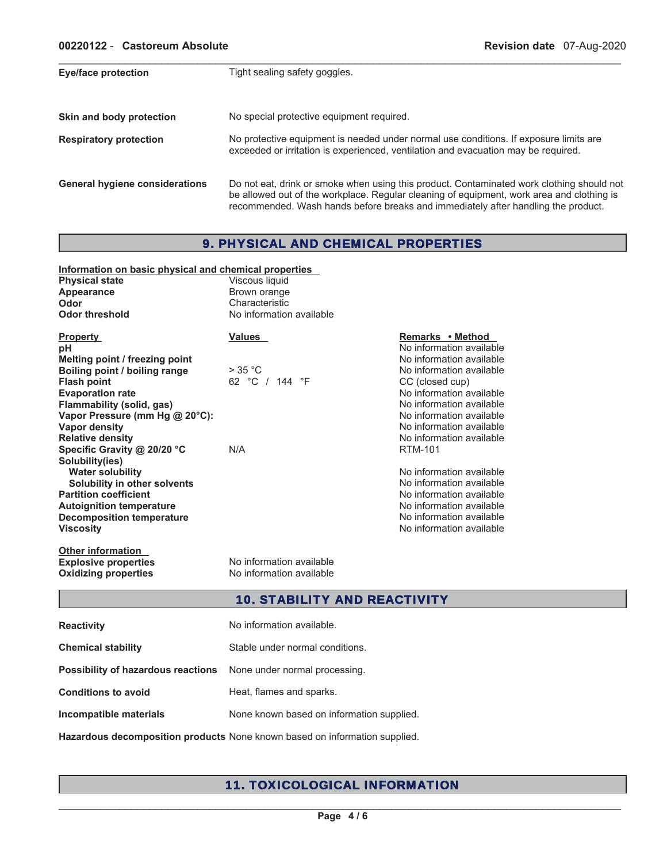| Eye/face protection                   | Tight sealing safety goggles.                                                                                                                                                                                                                                               |
|---------------------------------------|-----------------------------------------------------------------------------------------------------------------------------------------------------------------------------------------------------------------------------------------------------------------------------|
| Skin and body protection              | No special protective equipment required.                                                                                                                                                                                                                                   |
| <b>Respiratory protection</b>         | No protective equipment is needed under normal use conditions. If exposure limits are<br>exceeded or irritation is experienced, ventilation and evacuation may be required.                                                                                                 |
| <b>General hygiene considerations</b> | Do not eat, drink or smoke when using this product. Contaminated work clothing should not<br>be allowed out of the workplace. Regular cleaning of equipment, work area and clothing is<br>recommended. Wash hands before breaks and immediately after handling the product. |

\_\_\_\_\_\_\_\_\_\_\_\_\_\_\_\_\_\_\_\_\_\_\_\_\_\_\_\_\_\_\_\_\_\_\_\_\_\_\_\_\_\_\_\_\_\_\_\_\_\_\_\_\_\_\_\_\_\_\_\_\_\_\_\_\_\_\_\_\_\_\_\_\_\_\_\_\_\_\_\_\_\_\_\_\_\_\_\_\_\_\_\_\_

# 9. PHYSICAL AND CHEMICAL PROPERTIES

| Information on basic physical and chemical properties<br><b>Physical state</b><br>Appearance<br>Odor<br><b>Odor threshold</b>                                                                                                                                                                                                                                                                                                                                                                       | Viscous liquid<br>Brown orange<br>Characteristic<br>No information available |                                                                                                                                                                                                                                                                                                                                                                                                                                                               |
|-----------------------------------------------------------------------------------------------------------------------------------------------------------------------------------------------------------------------------------------------------------------------------------------------------------------------------------------------------------------------------------------------------------------------------------------------------------------------------------------------------|------------------------------------------------------------------------------|---------------------------------------------------------------------------------------------------------------------------------------------------------------------------------------------------------------------------------------------------------------------------------------------------------------------------------------------------------------------------------------------------------------------------------------------------------------|
| <b>Property</b><br>рH<br>Melting point / freezing point<br>Boiling point / boiling range<br><b>Flash point</b><br><b>Evaporation rate</b><br>Flammability (solid, gas)<br>Vapor Pressure (mm Hg @ 20°C):<br><b>Vapor density</b><br><b>Relative density</b><br>Specific Gravity @ 20/20 °C<br>Solubility(ies)<br><b>Water solubility</b><br>Solubility in other solvents<br><b>Partition coefficient</b><br><b>Autoignition temperature</b><br><b>Decomposition temperature</b><br><b>Viscosity</b> | <b>Values</b><br>$>$ 35 °C<br>62 °C / 144 °F<br>N/A                          | Remarks • Method<br>No information available<br>No information available<br>No information available<br>CC (closed cup)<br>No information available<br>No information available<br>No information available<br>No information available<br>No information available<br><b>RTM-101</b><br>No information available<br>No information available<br>No information available<br>No information available<br>No information available<br>No information available |
| <b>Other information</b><br><b>Explosive properties</b><br><b>Oxidizing properties</b>                                                                                                                                                                                                                                                                                                                                                                                                              | No information available<br>No information available                         |                                                                                                                                                                                                                                                                                                                                                                                                                                                               |

## 10. STABILITY AND REACTIVITY

| <b>Reactivity</b>                  | No information available.                 |
|------------------------------------|-------------------------------------------|
| <b>Chemical stability</b>          | Stable under normal conditions.           |
| Possibility of hazardous reactions | None under normal processing.             |
| <b>Conditions to avoid</b>         | Heat, flames and sparks.                  |
| Incompatible materials             | None known based on information supplied. |
|                                    |                                           |

# **Hazardous decomposition products** None known based on information supplied.

# 11. TOXICOLOGICAL INFORMATION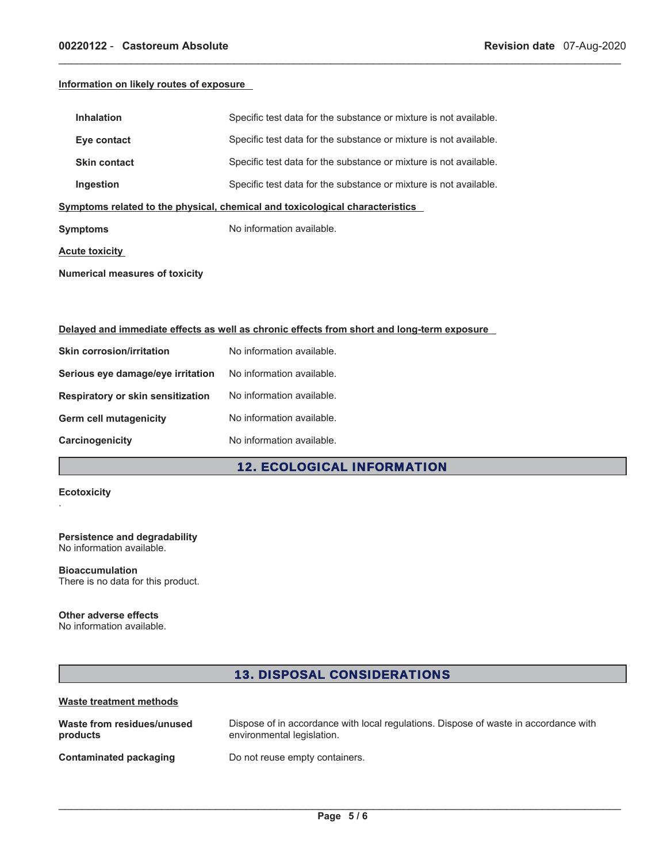## **Information on likely routes of exposure**

| <b>Inhalation</b>                                                            | Specific test data for the substance or mixture is not available. |  |
|------------------------------------------------------------------------------|-------------------------------------------------------------------|--|
| Eye contact                                                                  | Specific test data for the substance or mixture is not available. |  |
| <b>Skin contact</b>                                                          | Specific test data for the substance or mixture is not available. |  |
| Ingestion                                                                    | Specific test data for the substance or mixture is not available. |  |
| Symptoms related to the physical, chemical and toxicological characteristics |                                                                   |  |
| Symptoms                                                                     | No information available.                                         |  |
| Acute toxicity                                                               |                                                                   |  |
|                                                                              |                                                                   |  |

\_\_\_\_\_\_\_\_\_\_\_\_\_\_\_\_\_\_\_\_\_\_\_\_\_\_\_\_\_\_\_\_\_\_\_\_\_\_\_\_\_\_\_\_\_\_\_\_\_\_\_\_\_\_\_\_\_\_\_\_\_\_\_\_\_\_\_\_\_\_\_\_\_\_\_\_\_\_\_\_\_\_\_\_\_\_\_\_\_\_\_\_\_

**Numerical measures of toxicity**

## **Delayed and immediate effects as well as chronic effects from short and long-term exposure**

| No information available. |
|---------------------------|
| No information available. |
| No information available. |
| No information available. |
| No information available. |
|                           |

## 12. ECOLOGICAL INFORMATION

## **Ecotoxicity**

.

#### **Persistence and degradability** No information available.

**Bioaccumulation** There is no data for this product.

## **Other adverse effects**

No information available.

# 13. DISPOSAL CONSIDERATIONS

## **Waste treatment methods**

| Waste from residues/unused    | Dispose of in accordance with local regulations. Dispose of waste in accordance with |
|-------------------------------|--------------------------------------------------------------------------------------|
| products                      | environmental legislation.                                                           |
| <b>Contaminated packaging</b> | Do not reuse empty containers.                                                       |